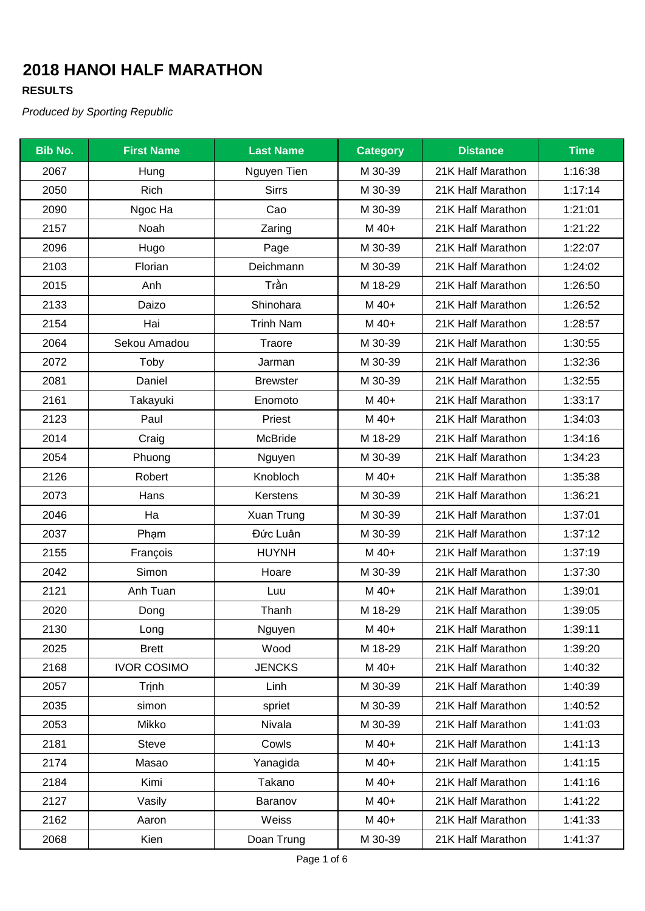### **RESULTS**

| <b>Bib No.</b> | <b>First Name</b>  | <b>Last Name</b> | <b>Category</b> | <b>Distance</b>   | <b>Time</b> |
|----------------|--------------------|------------------|-----------------|-------------------|-------------|
| 2067           | Hung               | Nguyen Tien      | M 30-39         | 21K Half Marathon | 1:16:38     |
| 2050           | Rich               | <b>Sirrs</b>     | M 30-39         | 21K Half Marathon | 1:17:14     |
| 2090           | Ngoc Ha            | Cao              | M 30-39         | 21K Half Marathon | 1:21:01     |
| 2157           | Noah               | Zaring           | M 40+           | 21K Half Marathon | 1:21:22     |
| 2096           | Hugo               | Page             | M 30-39         | 21K Half Marathon | 1:22:07     |
| 2103           | Florian            | Deichmann        | M 30-39         | 21K Half Marathon | 1:24:02     |
| 2015           | Anh                | Trần             | M 18-29         | 21K Half Marathon | 1:26:50     |
| 2133           | Daizo              | Shinohara        | M 40+           | 21K Half Marathon | 1:26:52     |
| 2154           | Hai                | <b>Trinh Nam</b> | M 40+           | 21K Half Marathon | 1:28:57     |
| 2064           | Sekou Amadou       | Traore           | M 30-39         | 21K Half Marathon | 1:30:55     |
| 2072           | Toby               | Jarman           | M 30-39         | 21K Half Marathon | 1:32:36     |
| 2081           | Daniel             | <b>Brewster</b>  | M 30-39         | 21K Half Marathon | 1:32:55     |
| 2161           | Takayuki           | Enomoto          | M 40+           | 21K Half Marathon | 1:33:17     |
| 2123           | Paul               | Priest           | M 40+           | 21K Half Marathon | 1:34:03     |
| 2014           | Craig              | <b>McBride</b>   | M 18-29         | 21K Half Marathon | 1:34:16     |
| 2054           | Phuong             | Nguyen           | M 30-39         | 21K Half Marathon | 1:34:23     |
| 2126           | Robert             | Knobloch         | M 40+           | 21K Half Marathon | 1:35:38     |
| 2073           | Hans               | Kerstens         | M 30-39         | 21K Half Marathon | 1:36:21     |
| 2046           | Ha                 | Xuan Trung       | M 30-39         | 21K Half Marathon | 1:37:01     |
| 2037           | Phạm               | Đức Luân         | M 30-39         | 21K Half Marathon | 1:37:12     |
| 2155           | François           | <b>HUYNH</b>     | M 40+           | 21K Half Marathon | 1:37:19     |
| 2042           | Simon              | Hoare            | M 30-39         | 21K Half Marathon | 1:37:30     |
| 2121           | Anh Tuan           | Luu              | M 40+           | 21K Half Marathon | 1:39:01     |
| 2020           | Dong               | Thanh            | M 18-29         | 21K Half Marathon | 1:39:05     |
| 2130           | Long               | Nguyen           | M 40+           | 21K Half Marathon | 1:39:11     |
| 2025           | <b>Brett</b>       | Wood             | M 18-29         | 21K Half Marathon | 1:39:20     |
| 2168           | <b>IVOR COSIMO</b> | <b>JENCKS</b>    | M 40+           | 21K Half Marathon | 1:40:32     |
| 2057           | Trinh              | Linh             | M 30-39         | 21K Half Marathon | 1:40:39     |
| 2035           | simon              | spriet           | M 30-39         | 21K Half Marathon | 1:40:52     |
| 2053           | Mikko              | Nivala           | M 30-39         | 21K Half Marathon | 1:41:03     |
| 2181           | <b>Steve</b>       | Cowls            | M 40+           | 21K Half Marathon | 1:41:13     |
| 2174           | Masao              | Yanagida         | M 40+           | 21K Half Marathon | 1:41:15     |
| 2184           | Kimi               | Takano           | M 40+           | 21K Half Marathon | 1:41:16     |
| 2127           | Vasily             | Baranov          | M 40+           | 21K Half Marathon | 1:41:22     |
| 2162           | Aaron              | Weiss            | M 40+           | 21K Half Marathon | 1:41:33     |
| 2068           | Kien               | Doan Trung       | M 30-39         | 21K Half Marathon | 1:41:37     |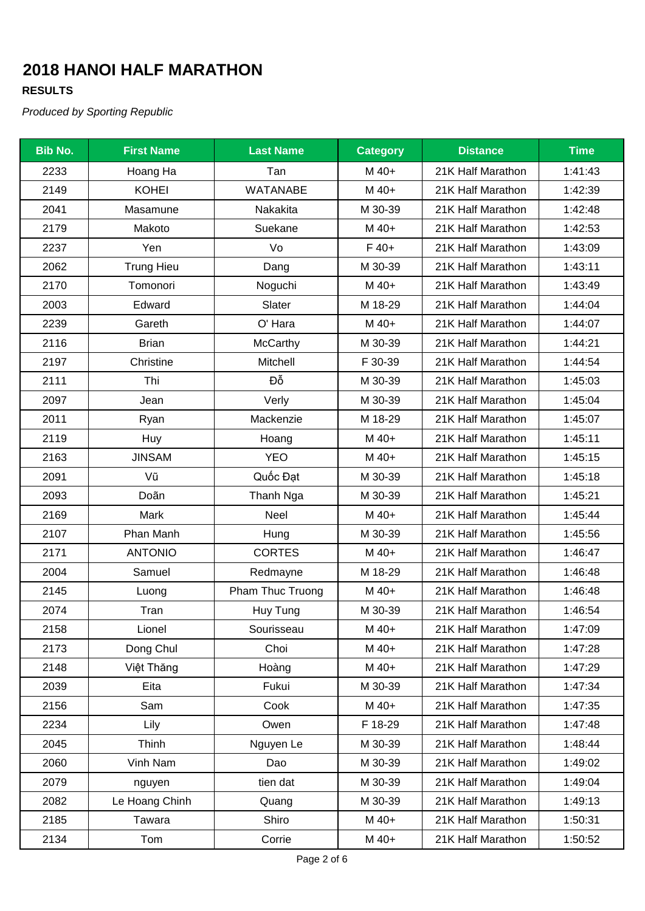### **RESULTS**

| <b>Bib No.</b> | <b>First Name</b> | <b>Last Name</b> | <b>Category</b> | <b>Distance</b>   | <b>Time</b> |
|----------------|-------------------|------------------|-----------------|-------------------|-------------|
| 2233           | Hoang Ha          | Tan              | M 40+           | 21K Half Marathon | 1:41:43     |
| 2149           | <b>KOHEI</b>      | <b>WATANABE</b>  | M 40+           | 21K Half Marathon | 1:42:39     |
| 2041           | Masamune          | Nakakita         | M 30-39         | 21K Half Marathon | 1:42:48     |
| 2179           | Makoto            | Suekane          | M 40+           | 21K Half Marathon | 1:42:53     |
| 2237           | Yen               | Vo               | $F$ 40+         | 21K Half Marathon | 1:43:09     |
| 2062           | <b>Trung Hieu</b> | Dang             | M 30-39         | 21K Half Marathon | 1:43:11     |
| 2170           | Tomonori          | Noguchi          | M 40+           | 21K Half Marathon | 1:43:49     |
| 2003           | Edward            | Slater           | M 18-29         | 21K Half Marathon | 1:44:04     |
| 2239           | Gareth            | O' Hara          | M 40+           | 21K Half Marathon | 1:44:07     |
| 2116           | <b>Brian</b>      | McCarthy         | M 30-39         | 21K Half Marathon | 1:44:21     |
| 2197           | Christine         | Mitchell         | F 30-39         | 21K Half Marathon | 1:44:54     |
| 2111           | Thi               | Đỗ               | M 30-39         | 21K Half Marathon | 1:45:03     |
| 2097           | Jean              | Verly            | M 30-39         | 21K Half Marathon | 1:45:04     |
| 2011           | Ryan              | Mackenzie        | M 18-29         | 21K Half Marathon | 1:45:07     |
| 2119           | Huy               | Hoang            | M 40+           | 21K Half Marathon | 1:45:11     |
| 2163           | <b>JINSAM</b>     | <b>YEO</b>       | M 40+           | 21K Half Marathon | 1:45:15     |
| 2091           | Vũ                | Quốc Đạt         | M 30-39         | 21K Half Marathon | 1:45:18     |
| 2093           | Doãn              | Thanh Nga        | M 30-39         | 21K Half Marathon | 1:45:21     |
| 2169           | Mark              | Neel             | M 40+           | 21K Half Marathon | 1:45:44     |
| 2107           | Phan Manh         | Hung             | M 30-39         | 21K Half Marathon | 1:45:56     |
| 2171           | <b>ANTONIO</b>    | <b>CORTES</b>    | M 40+           | 21K Half Marathon | 1:46:47     |
| 2004           | Samuel            | Redmayne         | M 18-29         | 21K Half Marathon | 1:46:48     |
| 2145           | Luong             | Pham Thuc Truong | M 40+           | 21K Half Marathon | 1:46:48     |
| 2074           | Tran              | Huy Tung         | M 30-39         | 21K Half Marathon | 1:46:54     |
| 2158           | Lionel            | Sourisseau       | M 40+           | 21K Half Marathon | 1:47:09     |
| 2173           | Dong Chul         | Choi             | M 40+           | 21K Half Marathon | 1:47:28     |
| 2148           | Việt Thăng        | Hoàng            | M 40+           | 21K Half Marathon | 1:47:29     |
| 2039           | Eita              | Fukui            | M 30-39         | 21K Half Marathon | 1:47:34     |
| 2156           | Sam               | Cook             | M 40+           | 21K Half Marathon | 1:47:35     |
| 2234           | Lily              | Owen             | F 18-29         | 21K Half Marathon | 1:47:48     |
| 2045           | Thinh             | Nguyen Le        | M 30-39         | 21K Half Marathon | 1:48:44     |
| 2060           | Vinh Nam          | Dao              | M 30-39         | 21K Half Marathon | 1:49:02     |
| 2079           | nguyen            | tien dat         | M 30-39         | 21K Half Marathon | 1:49:04     |
| 2082           | Le Hoang Chinh    | Quang            | M 30-39         | 21K Half Marathon | 1:49:13     |
| 2185           | Tawara            | Shiro            | M 40+           | 21K Half Marathon | 1:50:31     |
| 2134           | Tom               | Corrie           | M 40+           | 21K Half Marathon | 1:50:52     |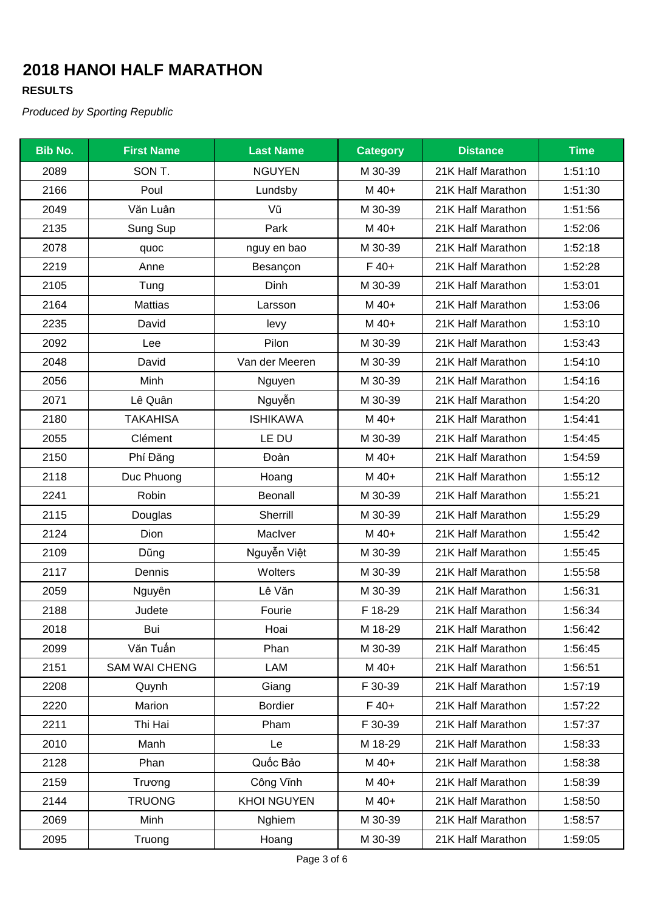### **RESULTS**

| <b>Bib No.</b> | <b>First Name</b>    | <b>Last Name</b>   | <b>Category</b> | <b>Distance</b>   | <b>Time</b> |
|----------------|----------------------|--------------------|-----------------|-------------------|-------------|
| 2089           | SON T.               | <b>NGUYEN</b>      | M 30-39         | 21K Half Marathon | 1:51:10     |
| 2166           | Poul                 | Lundsby            | M 40+           | 21K Half Marathon | 1:51:30     |
| 2049           | Văn Luân             | Vũ                 | M 30-39         | 21K Half Marathon | 1:51:56     |
| 2135           | Sung Sup             | Park               | M 40+           | 21K Half Marathon | 1:52:06     |
| 2078           | quoc                 | nguy en bao        | M 30-39         | 21K Half Marathon | 1:52:18     |
| 2219           | Anne                 | Besançon           | $F$ 40+         | 21K Half Marathon | 1:52:28     |
| 2105           | Tung                 | Dinh               | M 30-39         | 21K Half Marathon | 1:53:01     |
| 2164           | <b>Mattias</b>       | Larsson            | M 40+           | 21K Half Marathon | 1:53:06     |
| 2235           | David                | levy               | M 40+           | 21K Half Marathon | 1:53:10     |
| 2092           | Lee                  | Pilon              | M 30-39         | 21K Half Marathon | 1:53:43     |
| 2048           | David                | Van der Meeren     | M 30-39         | 21K Half Marathon | 1:54:10     |
| 2056           | Minh                 | Nguyen             | M 30-39         | 21K Half Marathon | 1:54:16     |
| 2071           | Lê Quân              | Nguyễn             | M 30-39         | 21K Half Marathon | 1:54:20     |
| 2180           | <b>TAKAHISA</b>      | <b>ISHIKAWA</b>    | M 40+           | 21K Half Marathon | 1:54:41     |
| 2055           | Clément              | LE DU              | M 30-39         | 21K Half Marathon | 1:54:45     |
| 2150           | Phí Đăng             | Đoàn               | M 40+           | 21K Half Marathon | 1:54:59     |
| 2118           | Duc Phuong           | Hoang              | M 40+           | 21K Half Marathon | 1:55:12     |
| 2241           | Robin                | Beonall            | M 30-39         | 21K Half Marathon | 1:55:21     |
| 2115           | Douglas              | Sherrill           | M 30-39         | 21K Half Marathon | 1:55:29     |
| 2124           | Dion                 | MacIver            | M 40+           | 21K Half Marathon | 1:55:42     |
| 2109           | Dũng                 | Nguyễn Việt        | M 30-39         | 21K Half Marathon | 1:55:45     |
| 2117           | Dennis               | Wolters            | M 30-39         | 21K Half Marathon | 1:55:58     |
| 2059           | Nguyên               | Lê Văn             | M 30-39         | 21K Half Marathon | 1:56:31     |
| 2188           | Judete               | Fourie             | F 18-29         | 21K Half Marathon | 1:56:34     |
| 2018           | Bui                  | Hoai               | M 18-29         | 21K Half Marathon | 1:56:42     |
| 2099           | Văn Tuấn             | Phan               | M 30-39         | 21K Half Marathon | 1:56:45     |
| 2151           | <b>SAM WAI CHENG</b> | LAM                | M 40+           | 21K Half Marathon | 1:56:51     |
| 2208           | Quynh                | Giang              | F 30-39         | 21K Half Marathon | 1:57:19     |
| 2220           | Marion               | <b>Bordier</b>     | $F 40+$         | 21K Half Marathon | 1:57:22     |
| 2211           | Thi Hai              | Pham               | F 30-39         | 21K Half Marathon | 1:57:37     |
| 2010           | Manh                 | Le                 | M 18-29         | 21K Half Marathon | 1:58:33     |
| 2128           | Phan                 | Quốc Bảo           | M 40+           | 21K Half Marathon | 1:58:38     |
| 2159           | Trương               | Công Vĩnh          | M 40+           | 21K Half Marathon | 1:58:39     |
| 2144           | <b>TRUONG</b>        | <b>KHOI NGUYEN</b> | M 40+           | 21K Half Marathon | 1:58:50     |
| 2069           | Minh                 | Nghiem             | M 30-39         | 21K Half Marathon | 1:58:57     |
| 2095           | Truong               | Hoang              | M 30-39         | 21K Half Marathon | 1:59:05     |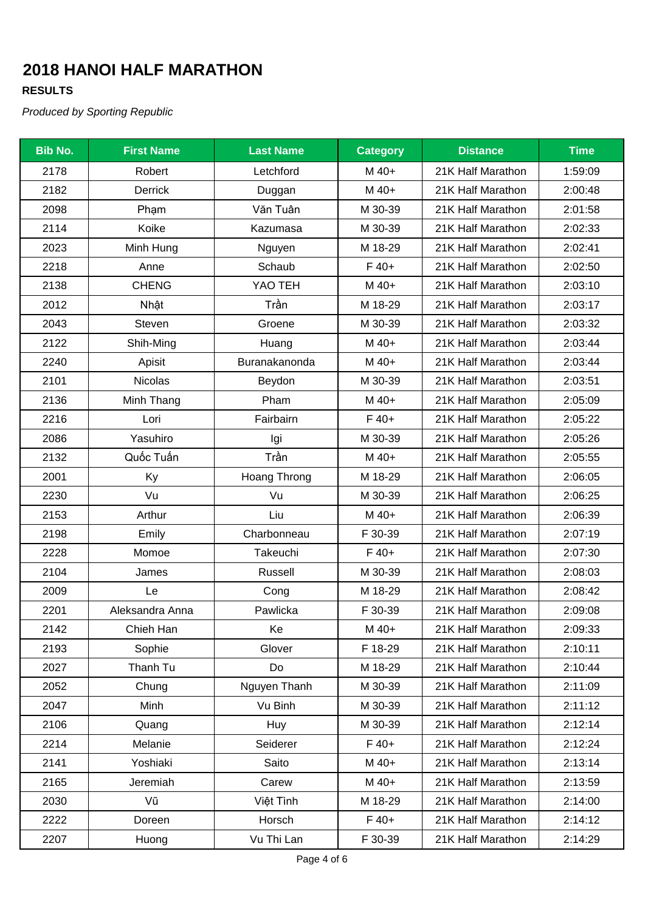### **RESULTS**

| <b>Bib No.</b> | <b>First Name</b> | <b>Last Name</b> | <b>Category</b> | <b>Distance</b>   | <b>Time</b> |
|----------------|-------------------|------------------|-----------------|-------------------|-------------|
| 2178           | Robert            | Letchford        | M 40+           | 21K Half Marathon | 1:59:09     |
| 2182           | <b>Derrick</b>    | Duggan           | M 40+           | 21K Half Marathon | 2:00:48     |
| 2098           | Phạm              | Văn Tuân         | M 30-39         | 21K Half Marathon | 2:01:58     |
| 2114           | Koike             | Kazumasa         | M 30-39         | 21K Half Marathon | 2:02:33     |
| 2023           | Minh Hung         | Nguyen           | M 18-29         | 21K Half Marathon | 2:02:41     |
| 2218           | Anne              | Schaub           | $F40+$          | 21K Half Marathon | 2:02:50     |
| 2138           | <b>CHENG</b>      | YAO TEH          | M 40+           | 21K Half Marathon | 2:03:10     |
| 2012           | Nhật              | Trần             | M 18-29         | 21K Half Marathon | 2:03:17     |
| 2043           | Steven            | Groene           | M 30-39         | 21K Half Marathon | 2:03:32     |
| 2122           | Shih-Ming         | Huang            | M 40+           | 21K Half Marathon | 2:03:44     |
| 2240           | Apisit            | Buranakanonda    | M 40+           | 21K Half Marathon | 2:03:44     |
| 2101           | <b>Nicolas</b>    | Beydon           | M 30-39         | 21K Half Marathon | 2:03:51     |
| 2136           | Minh Thang        | Pham             | M 40+           | 21K Half Marathon | 2:05:09     |
| 2216           | Lori              | Fairbairn        | $F$ 40+         | 21K Half Marathon | 2:05:22     |
| 2086           | Yasuhiro          | Igi              | M 30-39         | 21K Half Marathon | 2:05:26     |
| 2132           | Quốc Tuấn         | Trần             | M 40+           | 21K Half Marathon | 2:05:55     |
| 2001           | Ky                | Hoang Throng     | M 18-29         | 21K Half Marathon | 2:06:05     |
| 2230           | Vu                | Vu               | M 30-39         | 21K Half Marathon | 2:06:25     |
| 2153           | Arthur            | Liu              | M 40+           | 21K Half Marathon | 2:06:39     |
| 2198           | Emily             | Charbonneau      | F 30-39         | 21K Half Marathon | 2:07:19     |
| 2228           | Momoe             | Takeuchi         | $F40+$          | 21K Half Marathon | 2:07:30     |
| 2104           | James             | Russell          | M 30-39         | 21K Half Marathon | 2:08:03     |
| 2009           | Le                | Cong             | M 18-29         | 21K Half Marathon | 2:08:42     |
| 2201           | Aleksandra Anna   | Pawlicka         | F 30-39         | 21K Half Marathon | 2:09:08     |
| 2142           | Chieh Han         | Ke               | M 40+           | 21K Half Marathon | 2:09:33     |
| 2193           | Sophie            | Glover           | F 18-29         | 21K Half Marathon | 2:10:11     |
| 2027           | Thanh Tu          | Do               | M 18-29         | 21K Half Marathon | 2:10:44     |
| 2052           | Chung             | Nguyen Thanh     | M 30-39         | 21K Half Marathon | 2:11:09     |
| 2047           | Minh              | Vu Binh          | M 30-39         | 21K Half Marathon | 2:11:12     |
| 2106           | Quang             | Huy              | M 30-39         | 21K Half Marathon | 2:12:14     |
| 2214           | Melanie           | Seiderer         | $F$ 40+         | 21K Half Marathon | 2:12:24     |
| 2141           | Yoshiaki          | Saito            | M 40+           | 21K Half Marathon | 2:13:14     |
| 2165           | Jeremiah          | Carew            | M 40+           | 21K Half Marathon | 2:13:59     |
| 2030           | Vũ                | Việt Tình        | M 18-29         | 21K Half Marathon | 2:14:00     |
| 2222           | Doreen            | Horsch           | $F40+$          | 21K Half Marathon | 2:14:12     |
| 2207           | Huong             | Vu Thi Lan       | F 30-39         | 21K Half Marathon | 2:14:29     |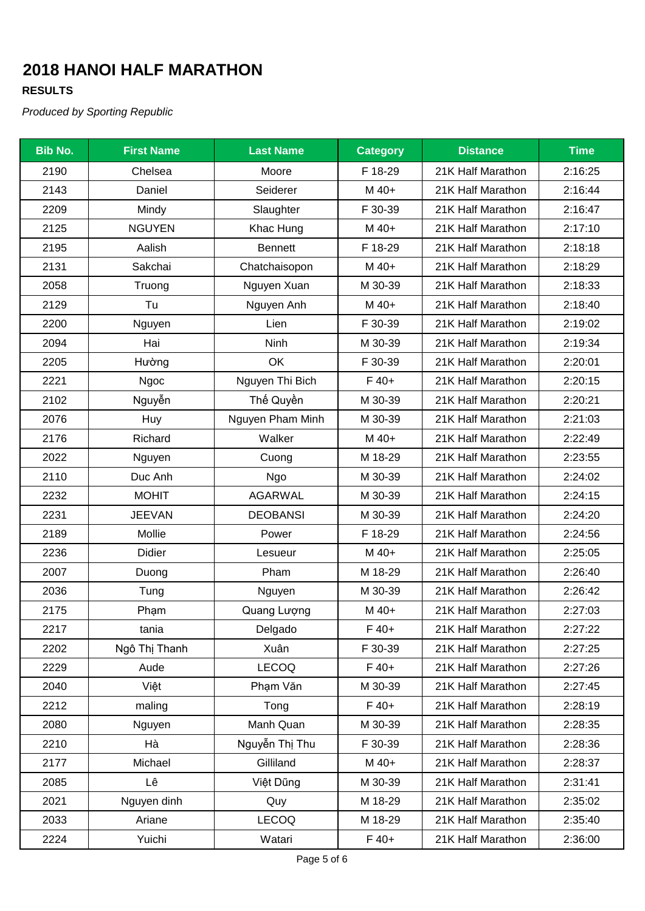### **RESULTS**

| <b>Bib No.</b> | <b>First Name</b> | <b>Last Name</b> | <b>Category</b> | <b>Distance</b>   | <b>Time</b> |
|----------------|-------------------|------------------|-----------------|-------------------|-------------|
| 2190           | Chelsea           | Moore            | F 18-29         | 21K Half Marathon | 2:16:25     |
| 2143           | Daniel            | Seiderer         | M 40+           | 21K Half Marathon | 2:16:44     |
| 2209           | Mindy             | Slaughter        | F 30-39         | 21K Half Marathon | 2:16:47     |
| 2125           | <b>NGUYEN</b>     | Khac Hung        | M 40+           | 21K Half Marathon | 2:17:10     |
| 2195           | Aalish            | <b>Bennett</b>   | F 18-29         | 21K Half Marathon | 2:18:18     |
| 2131           | Sakchai           | Chatchaisopon    | M 40+           | 21K Half Marathon | 2:18:29     |
| 2058           | Truong            | Nguyen Xuan      | M 30-39         | 21K Half Marathon | 2:18:33     |
| 2129           | Tu                | Nguyen Anh       | M 40+           | 21K Half Marathon | 2:18:40     |
| 2200           | Nguyen            | Lien             | F 30-39         | 21K Half Marathon | 2:19:02     |
| 2094           | Hai               | <b>Ninh</b>      | M 30-39         | 21K Half Marathon | 2:19:34     |
| 2205           | Hường             | OK               | F 30-39         | 21K Half Marathon | 2:20:01     |
| 2221           | Ngoc              | Nguyen Thi Bich  | $F40+$          | 21K Half Marathon | 2:20:15     |
| 2102           | Nguyễn            | Thế Quyền        | M 30-39         | 21K Half Marathon | 2:20:21     |
| 2076           | Huy               | Nguyen Pham Minh | M 30-39         | 21K Half Marathon | 2:21:03     |
| 2176           | Richard           | Walker           | M 40+           | 21K Half Marathon | 2:22:49     |
| 2022           | Nguyen            | Cuong            | M 18-29         | 21K Half Marathon | 2:23:55     |
| 2110           | Duc Anh           | Ngo              | M 30-39         | 21K Half Marathon | 2:24:02     |
| 2232           | <b>MOHIT</b>      | <b>AGARWAL</b>   | M 30-39         | 21K Half Marathon | 2:24:15     |
| 2231           | <b>JEEVAN</b>     | <b>DEOBANSI</b>  | M 30-39         | 21K Half Marathon | 2:24:20     |
| 2189           | Mollie            | Power            | F 18-29         | 21K Half Marathon | 2:24:56     |
| 2236           | Didier            | Lesueur          | M 40+           | 21K Half Marathon | 2:25:05     |
| 2007           | Duong             | Pham             | M 18-29         | 21K Half Marathon | 2:26:40     |
| 2036           | Tung              | Nguyen           | M 30-39         | 21K Half Marathon | 2:26:42     |
| 2175           | Phạm              | Quang Lượng      | M 40+           | 21K Half Marathon | 2:27:03     |
| 2217           | tania             | Delgado          | $F$ 40+         | 21K Half Marathon | 2:27:22     |
| 2202           | Ngô Thị Thanh     | Xuân             | F 30-39         | 21K Half Marathon | 2:27:25     |
| 2229           | Aude              | <b>LECOQ</b>     | $F40+$          | 21K Half Marathon | 2:27:26     |
| 2040           | Việt              | Phạm Văn         | M 30-39         | 21K Half Marathon | 2:27:45     |
| 2212           | maling            | Tong             | $F40+$          | 21K Half Marathon | 2:28:19     |
| 2080           | Nguyen            | Manh Quan        | M 30-39         | 21K Half Marathon | 2:28:35     |
| 2210           | Hà                | Nguyễn Thị Thu   | F 30-39         | 21K Half Marathon | 2:28:36     |
| 2177           | Michael           | Gilliland        | M 40+           | 21K Half Marathon | 2:28:37     |
| 2085           | Lê                | Việt Dũng        | M 30-39         | 21K Half Marathon | 2:31:41     |
| 2021           | Nguyen dinh       | Quy              | M 18-29         | 21K Half Marathon | 2:35:02     |
| 2033           | Ariane            | <b>LECOQ</b>     | M 18-29         | 21K Half Marathon | 2:35:40     |
| 2224           | Yuichi            | Watari           | $F$ 40+         | 21K Half Marathon | 2:36:00     |